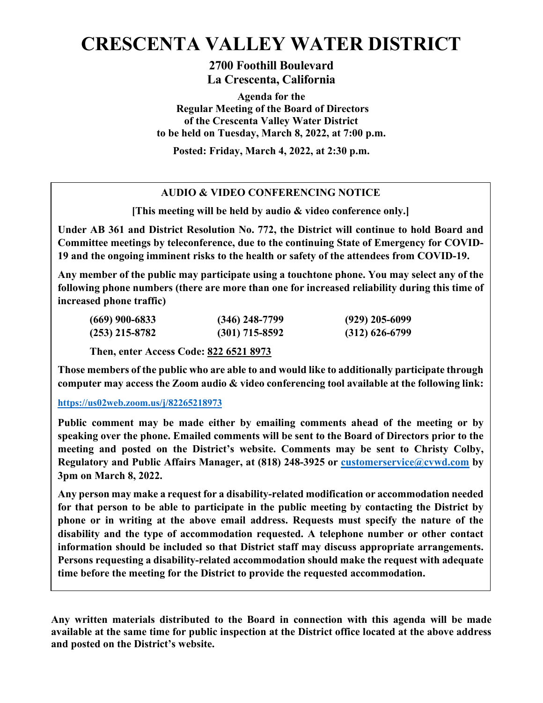# **CRESCENTA VALLEY WATER DISTRICT**

**2700 Foothill Boulevard La Crescenta, California**

**Agenda for the Regular Meeting of the Board of Directors of the Crescenta Valley Water District to be held on Tuesday, March 8, 2022, at 7:00 p.m.**

**Posted: Friday, March 4, 2022, at 2:30 p.m.**

# **AUDIO & VIDEO CONFERENCING NOTICE**

**[This meeting will be held by audio & video conference only.]**

**Under AB 361 and District Resolution No. 772, the District will continue to hold Board and Committee meetings by teleconference, due to the continuing State of Emergency for COVID-19 and the ongoing imminent risks to the health or safety of the attendees from COVID-19.** 

**Any member of the public may participate using a touchtone phone. You may select any of the following phone numbers (there are more than one for increased reliability during this time of increased phone traffic)**

| $(669)$ 900-6833 | $(346)$ 248-7799 | $(929)$ 205-6099 |
|------------------|------------------|------------------|
| $(253)$ 215-8782 | $(301)$ 715-8592 | $(312)$ 626-6799 |

**Then, enter Access Code: 822 6521 8973**

**Those members of the public who are able to and would like to additionally participate through computer may access the Zoom audio & video conferencing tool available at the following link:**

#### **<https://us02web.zoom.us/j/82265218973>**

**Public comment may be made either by emailing comments ahead of the meeting or by speaking over the phone. Emailed comments will be sent to the Board of Directors prior to the meeting and posted on the District's website. Comments may be sent to Christy Colby, Regulatory and Public Affairs Manager, at (818) 248-3925 or [customerservice@cvwd.com](mailto:customerservice@cvwd.com) by 3pm on March 8, 2022.** 

**Any person may make a request for a disability-related modification or accommodation needed for that person to be able to participate in the public meeting by contacting the District by phone or in writing at the above email address. Requests must specify the nature of the disability and the type of accommodation requested. A telephone number or other contact information should be included so that District staff may discuss appropriate arrangements. Persons requesting a disability-related accommodation should make the request with adequate time before the meeting for the District to provide the requested accommodation.**

**Any written materials distributed to the Board in connection with this agenda will be made available at the same time for public inspection at the District office located at the above address and posted on the District's website.**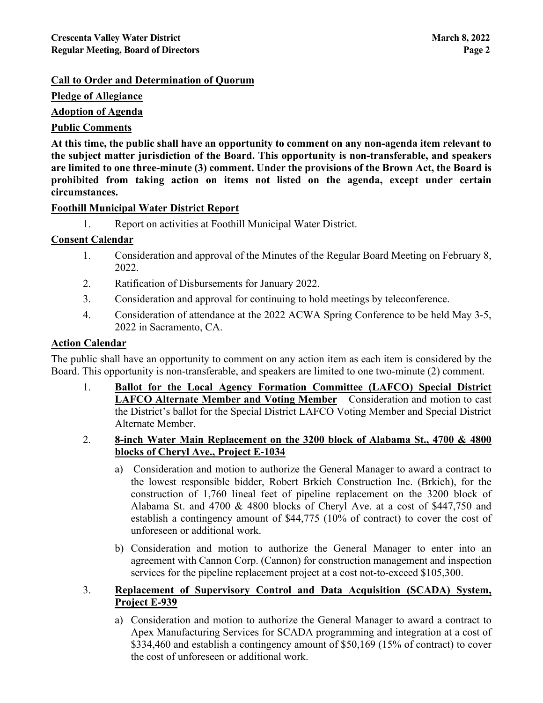# **Call to Order and Determination of Quorum**

**Pledge of Allegiance**

**Adoption of Agenda**

# **Public Comments**

**At this time, the public shall have an opportunity to comment on any non-agenda item relevant to the subject matter jurisdiction of the Board. This opportunity is non-transferable, and speakers are limited to one three-minute (3) comment. Under the provisions of the Brown Act, the Board is prohibited from taking action on items not listed on the agenda, except under certain circumstances.**

# **Foothill Municipal Water District Report**

1. Report on activities at Foothill Municipal Water District.

# **Consent Calendar**

- 1. Consideration and approval of the Minutes of the Regular Board Meeting on February 8, 2022.
- 2. Ratification of Disbursements for January 2022.
- 3. Consideration and approval for continuing to hold meetings by teleconference.
- 4. Consideration of attendance at the 2022 ACWA Spring Conference to be held May 3-5, 2022 in Sacramento, CA.

#### **Action Calendar**

The public shall have an opportunity to comment on any action item as each item is considered by the Board. This opportunity is non-transferable, and speakers are limited to one two-minute (2) comment.

- 1. **Ballot for the Local Agency Formation Committee (LAFCO) Special District LAFCO Alternate Member and Voting Member** – Consideration and motion to cast the District's ballot for the Special District LAFCO Voting Member and Special District Alternate Member.
- 2. **8-inch Water Main Replacement on the 3200 block of Alabama St., 4700 & 4800 blocks of Cheryl Ave., Project E-1034**
	- a) Consideration and motion to authorize the General Manager to award a contract to the lowest responsible bidder, Robert Brkich Construction Inc. (Brkich), for the construction of 1,760 lineal feet of pipeline replacement on the 3200 block of Alabama St. and 4700 & 4800 blocks of Cheryl Ave. at a cost of \$447,750 and establish a contingency amount of \$44,775 (10% of contract) to cover the cost of unforeseen or additional work.
	- b) Consideration and motion to authorize the General Manager to enter into an agreement with Cannon Corp. (Cannon) for construction management and inspection services for the pipeline replacement project at a cost not-to-exceed \$105,300.

# 3. **Replacement of Supervisory Control and Data Acquisition (SCADA) System, Project E-939**

a) Consideration and motion to authorize the General Manager to award a contract to Apex Manufacturing Services for SCADA programming and integration at a cost of \$334,460 and establish a contingency amount of \$50,169 (15% of contract) to cover the cost of unforeseen or additional work.